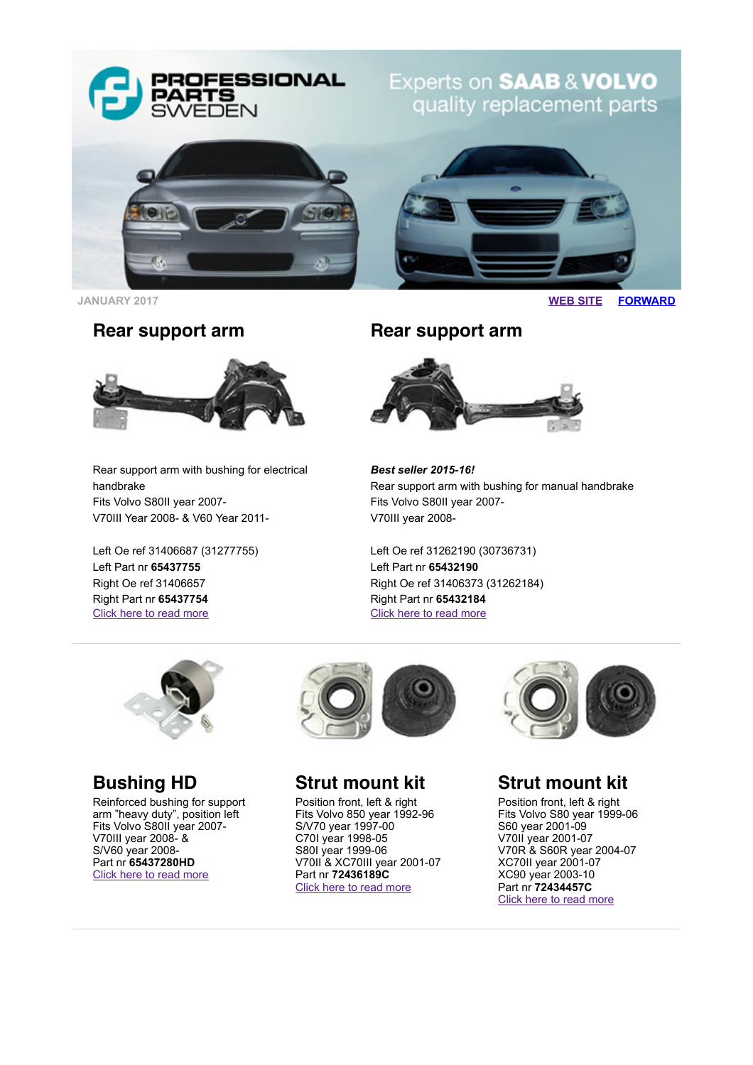

# Experts on SAAB & VOLVO quality replacement parts



**JANUARY 2017 [WEB SITE](http://www.proparts.se/) [FORWARD](http://app.rule.io/browser/campaign/c/n_173k/%25Link:Forward%25)**

#### **Rear support arm**



Rear support arm with bushing for electrical handbrake Fits Volvo S80II year 2007- V70III Year 2008- & V60 Year 2011-

Left Oe ref 31406687 (31277755) Left Part nr **65437755** Right Oe ref 31406657 Right Part nr **65437754** [Click here to read more](http://www.proparts.se/dokument/bibliotek/File/pdfkataloger/2507_VOLVO.pdf)

#### **Rear support arm**



*Best seller 2015-16!* Rear support arm with bushing for manual handbrake Fits Volvo S80II year 2007- V70III year 2008-

Left Oe ref 31262190 (30736731) Left Part nr **65432190** Right Oe ref 31406373 (31262184) Right Part nr **65432184** [Click here to read more](http://www.proparts.se/dokument/bibliotek/File/pdfkataloger/2507_VOLVO.pdf)



### **Bushing HD**

Reinforced bushing for support arm "heavy duty", position left Fits Volvo S80II year 2007- V70III year 2008- & S/V60 year 2008- Part nr **65437280HD** [Click here to read more](http://www.proparts.se/dokument/bibliotek/File/pdfkataloger/2507_VOLVO.pdf)



### **Strut mount kit**

Position front, left & right Fits Volvo 850 year 1992-96 S/V70 year 1997-00 C70I year 1998-05 S80I year 1999-06 V70II & XC70III year 2001-07 Part nr **72436189C** [Click here to read more](http://www.proparts.se/dokument/bibliotek/File/pdfkataloger/2508_VOLVO.pdf)



# **Strut mount kit**

Position front, left & right Fits Volvo S80 year 1999-06 S60 year 2001-09 V70II year 2001-07 V70R & S60R year 2004-07 XC70II year 2001-07 XC90 year 2003-10 Part nr **72434457C** [Click here to read more](http://www.proparts.se/dokument/bibliotek/File/pdfkataloger/2508_VOLVO.pdf)